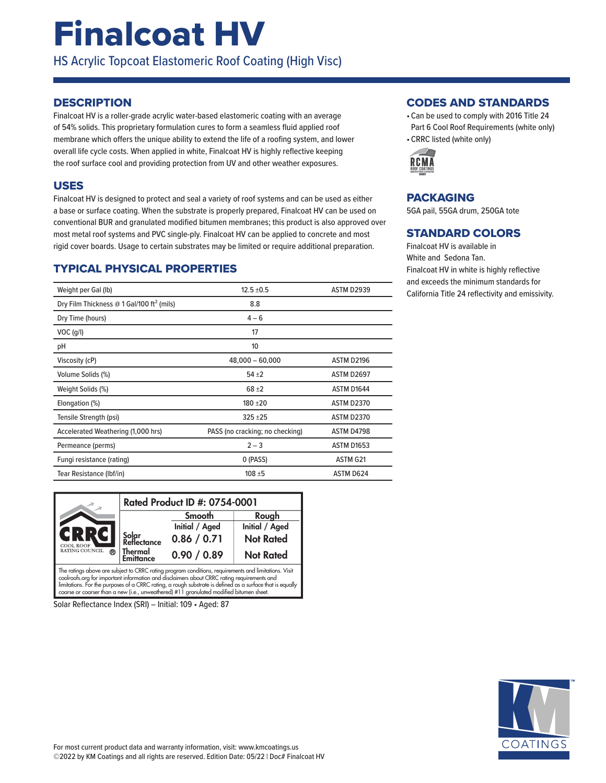# Finalcoat HV

HS Acrylic Topcoat Elastomeric Roof Coating (High Visc)

## **DESCRIPTION**

Finalcoat HV is a roller-grade acrylic water-based elastomeric coating with an average of 54% solids. This proprietary formulation cures to form a seamless fluid applied roof membrane which offers the unique ability to extend the life of a roofing system, and lower overall life cycle costs. When applied in white, Finalcoat HV is highly reflective keeping the roof surface cool and providing protection from UV and other weather exposures.

#### USES

Finalcoat HV is designed to protect and seal a variety of roof systems and can be used as either a base or surface coating. When the substrate is properly prepared, Finalcoat HV can be used on conventional BUR and granulated modified bitumen membranes; this product is also approved over most metal roof systems and PVC single-ply. Finalcoat HV can be applied to concrete and most rigid cover boards. Usage to certain substrates may be limited or require additional preparation.

## TYPICAL PHYSICAL PROPERTIES

| Weight per Gal (lb)                                   | $12.5 \pm 0.5$                  | <b>ASTM D2939</b> |
|-------------------------------------------------------|---------------------------------|-------------------|
| Dry Film Thickness @ 1 Gal/100 ft <sup>2</sup> (mils) | 8.8                             |                   |
| Dry Time (hours)                                      | $4 - 6$                         |                   |
| $VOC$ (g/l)                                           | 17                              |                   |
| рH                                                    | 10                              |                   |
| Viscosity (cP)                                        | $48,000 - 60,000$               | ASTM D2196        |
| Volume Solids (%)                                     | $54 + 2$                        | <b>ASTM D2697</b> |
| Weight Solids (%)                                     | $68 + 2$                        | ASTM D1644        |
| Elongation (%)                                        | $180 + 20$                      | <b>ASTM D2370</b> |
| Tensile Strength (psi)                                | $325 + 25$                      | <b>ASTM D2370</b> |
| Accelerated Weathering (1,000 hrs)                    | PASS (no cracking; no checking) | ASTM D4798        |
| Permeance (perms)                                     | $2 - 3$                         | <b>ASTM D1653</b> |
| Fungi resistance (rating)                             | 0 (PASS)                        | ASTM G21          |
| Tear Resistance (Ibf/in)                              | $108 + 5$                       | ASTM D624         |

|                                                                                                                                                                                                   | Rated Product ID #: 0754-0001 |                |                  |
|---------------------------------------------------------------------------------------------------------------------------------------------------------------------------------------------------|-------------------------------|----------------|------------------|
| GRRGI<br><b>COOL ROOF</b>                                                                                                                                                                         |                               | Smooth         | Rough            |
|                                                                                                                                                                                                   |                               | Initial / Aged | Initial / Aged   |
|                                                                                                                                                                                                   | Solar<br>Reflectance          | 0.86 / 0.71    | <b>Not Rated</b> |
| RATING COUNCIL<br><b>®</b>                                                                                                                                                                        | Thermal<br><b>Emittance</b>   | 0.90 / 0.89    | <b>Not Rated</b> |
| The ratings above are subject to CRRC rating program conditions, requirements and limitations. Visit<br>coolings org for important information and disclaimers about CRRC rating requirements and |                               |                |                  |

coolroofs.org for important information and disclaimers about CRRC rating requirements and<br>limitations. For the purposes of a CRRC rating, a rough substrate is defined as a surface that is equally coarse or coarser than a new (i.e., unweathered) #11 granulated modified bitumen sheet.

Solar Reflectance Index (SRI) – Initial: 109 • Aged: 87

#### CODES AND STANDARDS

- Can be used to comply with 2016 Title 24 Part 6 Cool Roof Requirements (white only)
- CRRC listed (white only)



#### PACKAGING

5GA pail, 55GA drum, 250GA tote

### STANDARD COLORS

Finalcoat HV is available in White and Sedona Tan. Finalcoat HV in white is highly reflective and exceeds the minimum standards for California Title 24 reflectivity and emissivity.